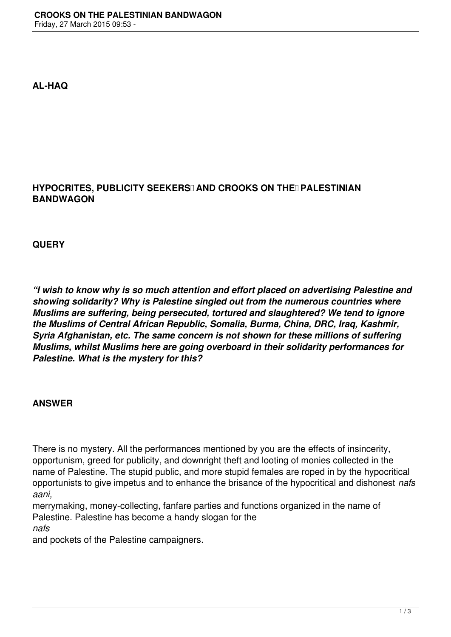**AL-HAQ**

## **HYPOCRITES, PUBLICITY SEEKERSI AND CROOKS ON THEI PALESTINIAN BANDWAGON**

**QUERY**

*"I wish to know why is so much attention and effort placed on advertising Palestine and showing solidarity? Why is Palestine singled out from the numerous countries where Muslims are suffering, being persecuted, tortured and slaughtered? We tend to ignore the Muslims of Central African Republic, Somalia, Burma, China, DRC, Iraq, Kashmir, Syria Afghanistan, etc. The same concern is not shown for these millions of suffering Muslims, whilst Muslims here are going overboard in their solidarity performances for Palestine. What is the mystery for this?*

## **ANSWER**

There is no mystery. All the performances mentioned by you are the effects of insincerity, opportunism, greed for publicity, and downright theft and looting of monies collected in the name of Palestine. The stupid public, and more stupid females are roped in by the hypocritical opportunists to give impetus and to enhance the brisance of the hypocritical and dishonest *nafs aani,* 

merrymaking, money-collecting, fanfare parties and functions organized in the name of Palestine. Palestine has become a handy slogan for the

*nafs* 

and pockets of the Palestine campaigners.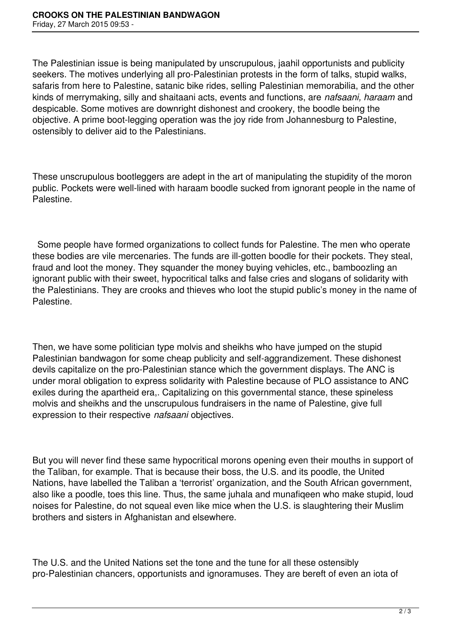The Palestinian issue is being manipulated by unscrupulous, jaahil opportunists and publicity seekers. The motives underlying all pro-Palestinian protests in the form of talks, stupid walks, safaris from here to Palestine, satanic bike rides, selling Palestinian memorabilia, and the other kinds of merrymaking, silly and shaitaani acts, events and functions, are *nafsaani, haraam* and despicable. Some motives are downright dishonest and crookery, the boodle being the objective. A prime boot-legging operation was the joy ride from Johannesburg to Palestine, ostensibly to deliver aid to the Palestinians.

These unscrupulous bootleggers are adept in the art of manipulating the stupidity of the moron public. Pockets were well-lined with haraam boodle sucked from ignorant people in the name of Palestine.

 Some people have formed organizations to collect funds for Palestine. The men who operate these bodies are vile mercenaries. The funds are ill-gotten boodle for their pockets. They steal, fraud and loot the money. They squander the money buying vehicles, etc., bamboozling an ignorant public with their sweet, hypocritical talks and false cries and slogans of solidarity with the Palestinians. They are crooks and thieves who loot the stupid public's money in the name of Palestine.

Then, we have some politician type molvis and sheikhs who have jumped on the stupid Palestinian bandwagon for some cheap publicity and self-aggrandizement. These dishonest devils capitalize on the pro-Palestinian stance which the government displays. The ANC is under moral obligation to express solidarity with Palestine because of PLO assistance to ANC exiles during the apartheid era,. Capitalizing on this governmental stance, these spineless molvis and sheikhs and the unscrupulous fundraisers in the name of Palestine, give full expression to their respective *nafsaani* objectives.

But you will never find these same hypocritical morons opening even their mouths in support of the Taliban, for example. That is because their boss, the U.S. and its poodle, the United Nations, have labelled the Taliban a 'terrorist' organization, and the South African government, also like a poodle, toes this line. Thus, the same juhala and munafiqeen who make stupid, loud noises for Palestine, do not squeal even like mice when the U.S. is slaughtering their Muslim brothers and sisters in Afghanistan and elsewhere.

The U.S. and the United Nations set the tone and the tune for all these ostensibly pro-Palestinian chancers, opportunists and ignoramuses. They are bereft of even an iota of